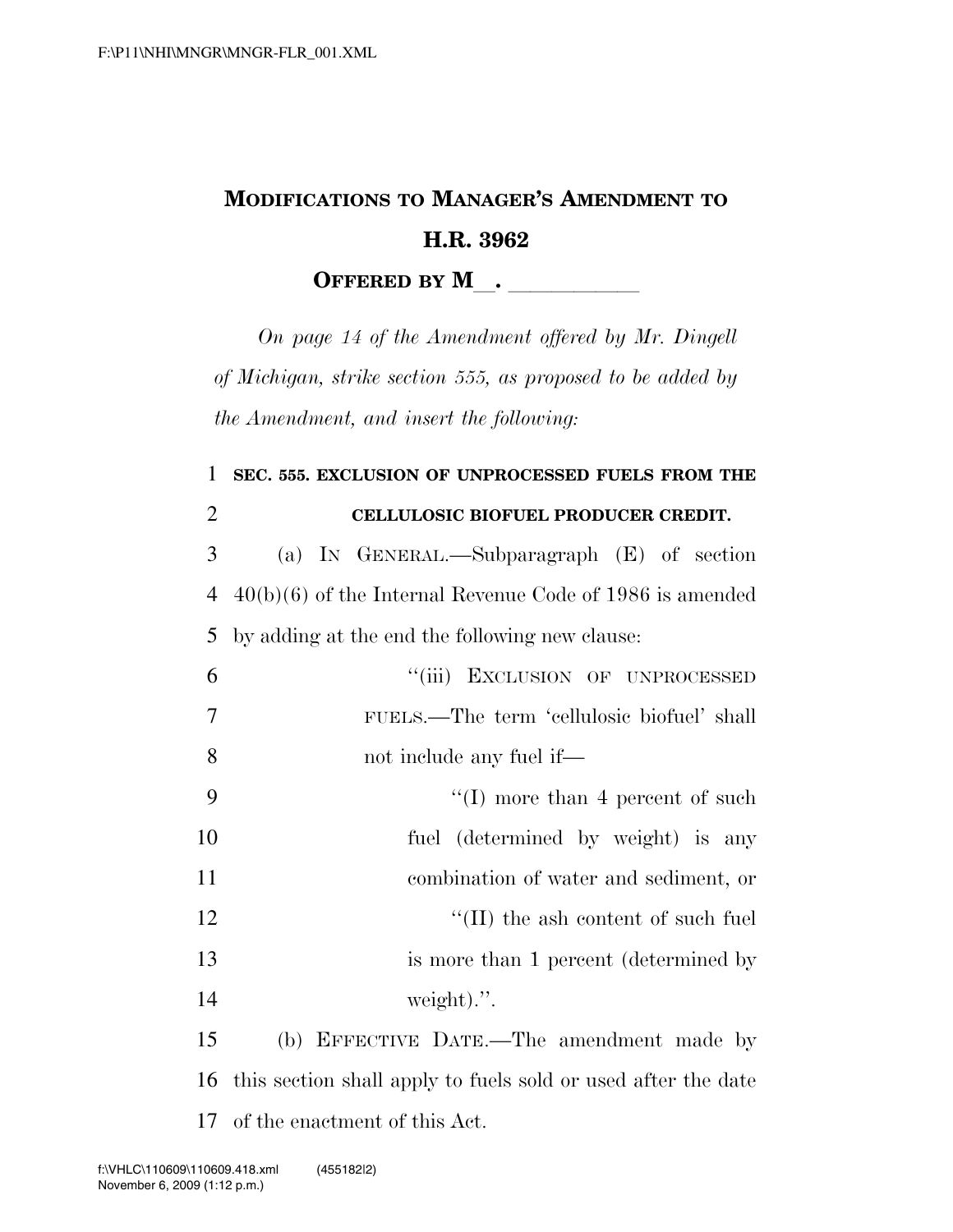## **MODIFICATIONS TO MANAGER'S AMENDMENT TO H.R. 3962 OFFERED BY M**.

*On page 14 of the Amendment offered by Mr. Dingell of Michigan, strike section 555, as proposed to be added by the Amendment, and insert the following:* 

## 1 **SEC. 555. EXCLUSION OF UNPROCESSED FUELS FROM THE**  2 **CELLULOSIC BIOFUEL PRODUCER CREDIT.**  3 (a) IN GENERAL.—Subparagraph (E) of section 4 40(b)(6) of the Internal Revenue Code of 1986 is amended 5 by adding at the end the following new clause: 6 ''(iii) EXCLUSION OF UNPROCESSED 7 FUELS.—The term 'cellulosic biofuel' shall 8 not include any fuel if— 9  $\frac{1}{2}$  (I) more than 4 percent of such 10 fuel (determined by weight) is any 11 combination of water and sediment, or 12  $\text{``(II)}$  the ash content of such fuel 13 is more than 1 percent (determined by 14 weight).". 15 (b) EFFECTIVE DATE.—The amendment made by

16 this section shall apply to fuels sold or used after the date 17 of the enactment of this Act.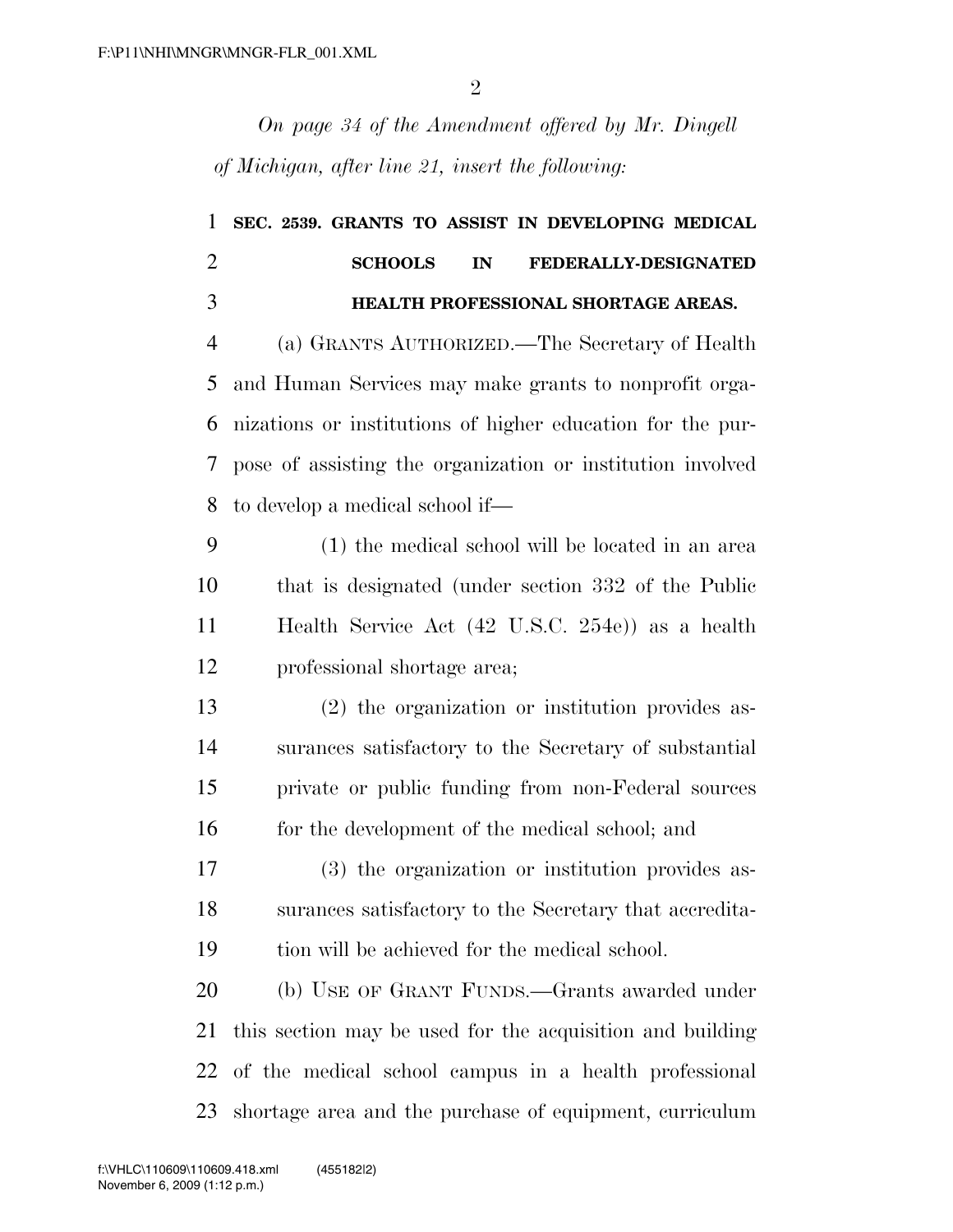*On page 34 of the Amendment offered by Mr. Dingell of Michigan, after line 21, insert the following:* 

| 1              | SEC. 2539. GRANTS TO ASSIST IN DEVELOPING MEDICAL          |
|----------------|------------------------------------------------------------|
| $\overline{2}$ | <b>SCHOOLS</b><br>FEDERALLY-DESIGNATED<br>IN               |
| 3              | HEALTH PROFESSIONAL SHORTAGE AREAS.                        |
| $\overline{4}$ | (a) GRANTS AUTHORIZED.—The Secretary of Health             |
| 5              | and Human Services may make grants to nonprofit orga-      |
| 6              | nizations or institutions of higher education for the pur- |
| 7              | pose of assisting the organization or institution involved |
| 8              | to develop a medical school if—                            |
| 9              | (1) the medical school will be located in an area          |
| 10             | that is designated (under section 332 of the Public        |
| 11             | Health Service Act (42 U.S.C. 254e)) as a health           |
| 12             | professional shortage area;                                |
| 13             | (2) the organization or institution provides as-           |
| 14             | surances satisfactory to the Secretary of substantial      |
| 15             | private or public funding from non-Federal sources         |
| 16             | for the development of the medical school; and             |
| 17             | (3) the organization or institution provides as-           |
| 18             | surances satisfactory to the Secretary that accredita-     |
| 19             | tion will be achieved for the medical school.              |
| 20             | (b) USE OF GRANT FUNDS.—Grants awarded under               |
| 21             | this section may be used for the acquisition and building  |
| 22             | of the medical school campus in a health professional      |
| 23             | shortage area and the purchase of equipment, curriculum    |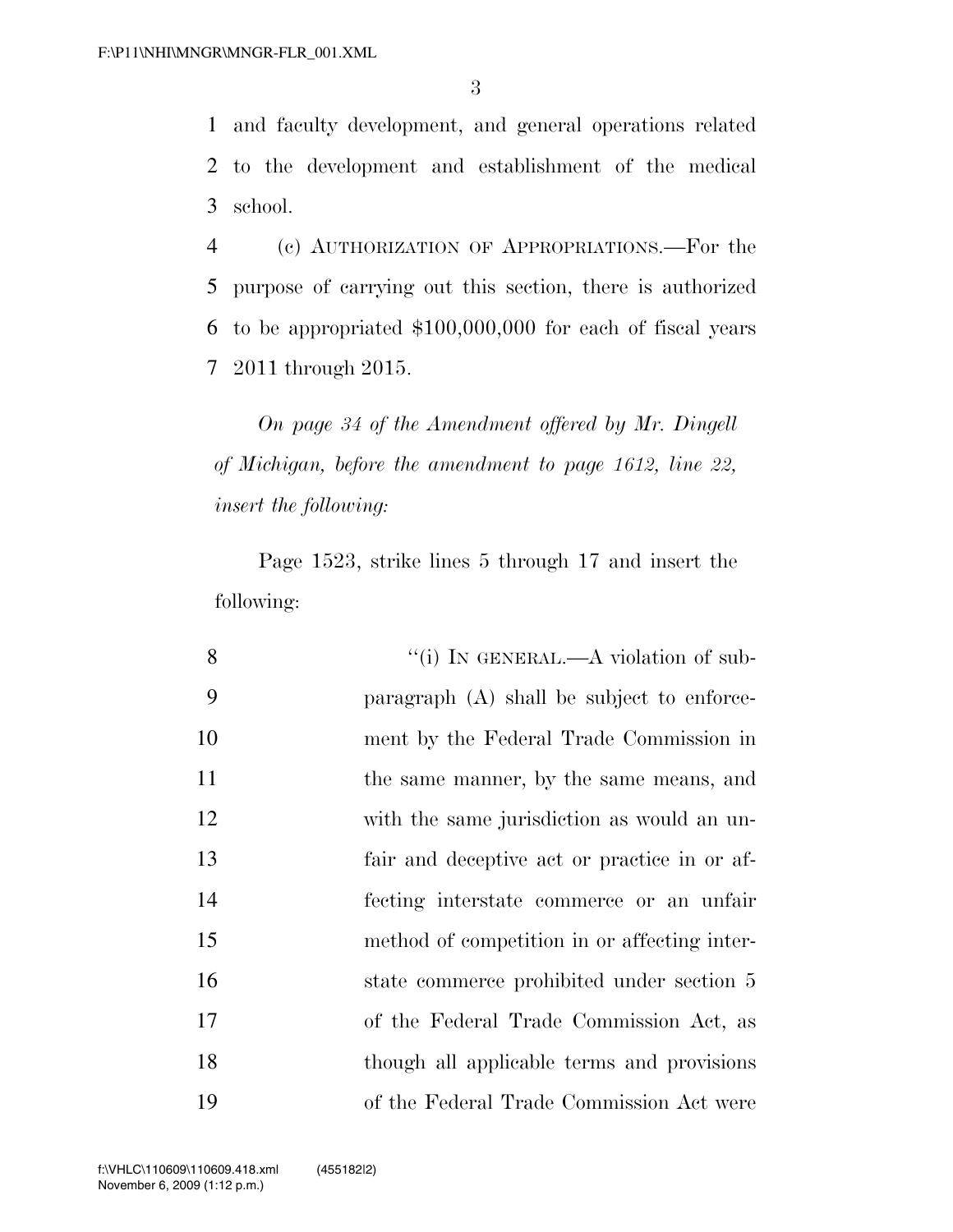and faculty development, and general operations related to the development and establishment of the medical school.

 (c) AUTHORIZATION OF APPROPRIATIONS.—For the purpose of carrying out this section, there is authorized to be appropriated \$100,000,000 for each of fiscal years 2011 through 2015.

*On page 34 of the Amendment offered by Mr. Dingell of Michigan, before the amendment to page 1612, line 22, insert the following:* 

Page 1523, strike lines 5 through 17 and insert the following:

| 8  | "(i) IN GENERAL.—A violation of sub-         |
|----|----------------------------------------------|
| 9  | paragraph (A) shall be subject to enforce-   |
| 10 | ment by the Federal Trade Commission in      |
| 11 | the same manner, by the same means, and      |
| 12 | with the same jurisdiction as would an un-   |
| 13 | fair and deceptive act or practice in or af- |
| 14 | fecting interstate commerce or an unfair     |
| 15 | method of competition in or affecting inter- |
| 16 | state commerce prohibited under section 5    |
| 17 | of the Federal Trade Commission Act, as      |
| 18 | though all applicable terms and provisions   |
| 19 | of the Federal Trade Commission Act were     |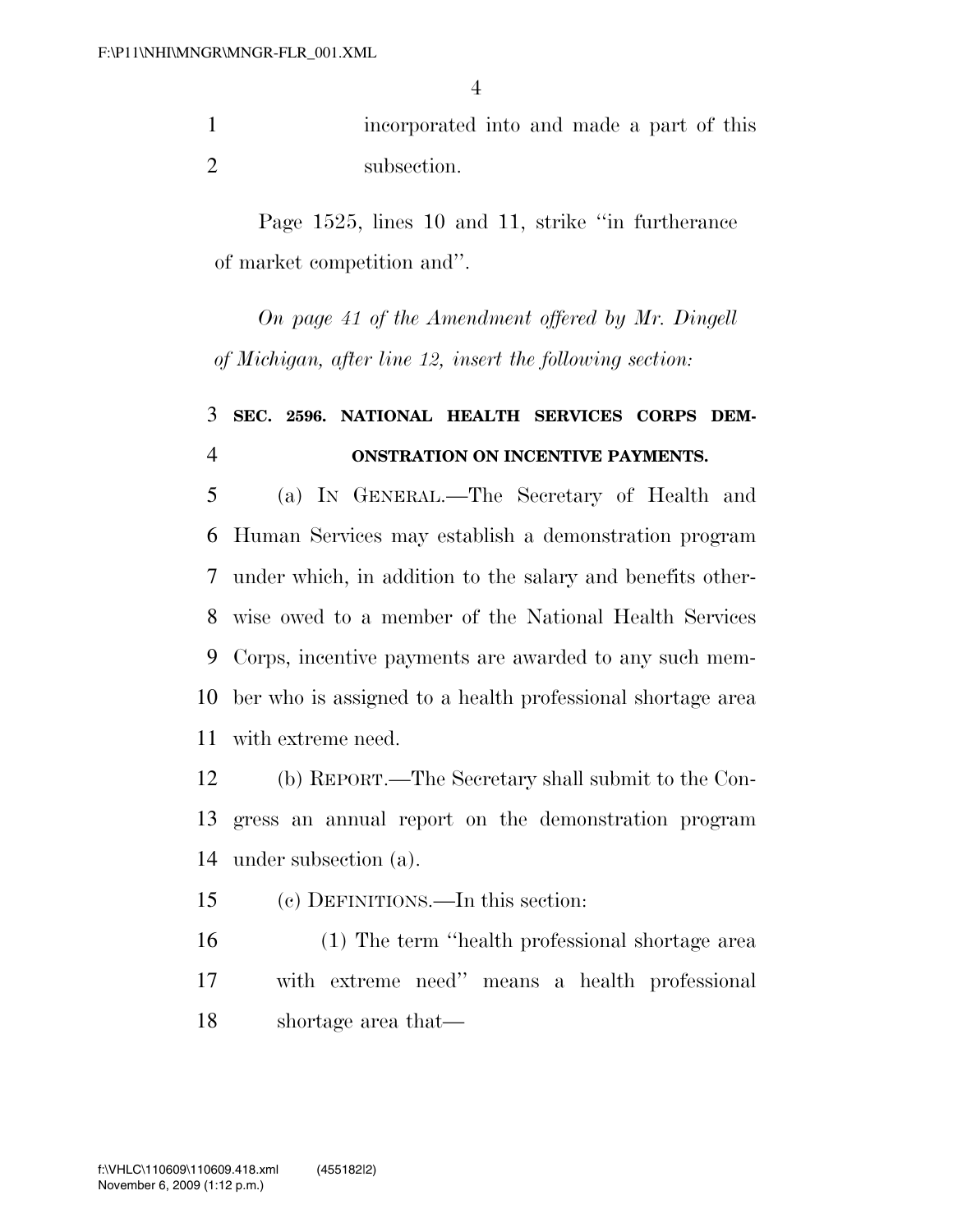incorporated into and made a part of this subsection.

Page 1525, lines 10 and 11, strike ''in furtherance of market competition and''.

*On page 41 of the Amendment offered by Mr. Dingell of Michigan, after line 12, insert the following section:* 

## **SEC. 2596. NATIONAL HEALTH SERVICES CORPS DEM-ONSTRATION ON INCENTIVE PAYMENTS.**

 (a) IN GENERAL.—The Secretary of Health and Human Services may establish a demonstration program under which, in addition to the salary and benefits other- wise owed to a member of the National Health Services Corps, incentive payments are awarded to any such mem- ber who is assigned to a health professional shortage area with extreme need.

 (b) REPORT.—The Secretary shall submit to the Con- gress an annual report on the demonstration program under subsection (a).

(c) DEFINITIONS.—In this section:

 (1) The term ''health professional shortage area with extreme need'' means a health professional shortage area that